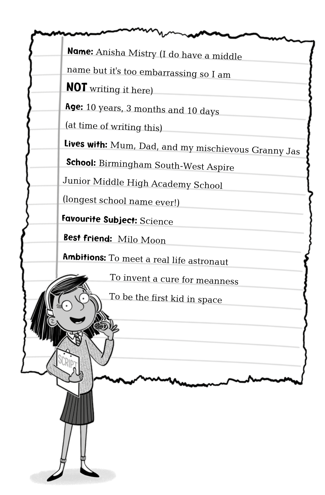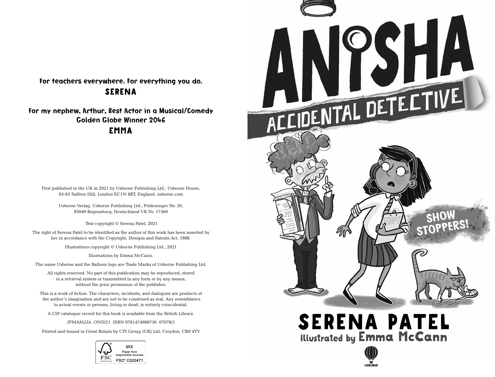## For teachers everywhere. For everything you do. SERENA

For my nephew, Arthur, Best Actor in a Musical/Comedy Golden Globe Winner 2046 EMMA

First published in the UK in 2021 by Usborne Publishing Ltd., Usborne House, 83-85 Saffron Hill, London EC1N 8RT, England, usborne.com

> Usborne Verlag, Usborne Publishing Ltd., Prüfeninger Str. 20, 93049 Regensburg, Deutschland VK Nr. 17560

> > Text copyright © Serena Patel, 2021

The right of Serena Patel to be identified as the author of this work has been asserted by her in accordance with the Copyright, Designs and Patents Act, 1988.

Illustrations copyright © Usborne Publishing Ltd., 2021

Illustrations by Emma McCann.

The name Usborne and the Balloon logo are Trade Marks of Usborne Publishing Ltd.

All rights reserved. No part of this publication may be reproduced, stored in a retrieval system or transmitted in any form or by any means, without the prior permission of the publisher.

This is a work of fiction. The characters, incidents, and dialogues are products of the author's imagination and are not to be construed as real. Any resemblance to actual events or persons, living or dead, is entirely coincidental.

A CIP catalogue record for this book is available from the British Library.

JFMAMJJA OND/21 ISBN 9781474989756 07078/1





Printed and bound in Great Britain by CPI Group (UK) Ltd, Croydon, CR0 4YY SERENA PATEL Illustrated by Emma McCann

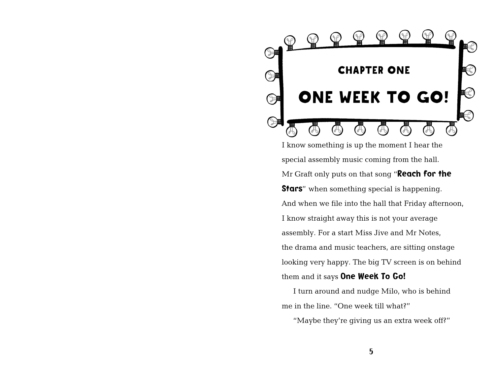

I know something is up the moment I hear the special assembly music coming from the hall. Mr Graft only puts on that song "Reach for the **Stars**" when something special is happening. And when we file into the hall that Friday afternoon, I know straight away this is not your average assembly. For a start Miss Jive and Mr Notes, the drama and music teachers, are sitting onstage looking very happy. The big TV screen is on behind them and it says One Week To Go!

I turn around and nudge Milo, who is behind me in the line. "One week till what?"

"Maybe they're giving us an extra week off?"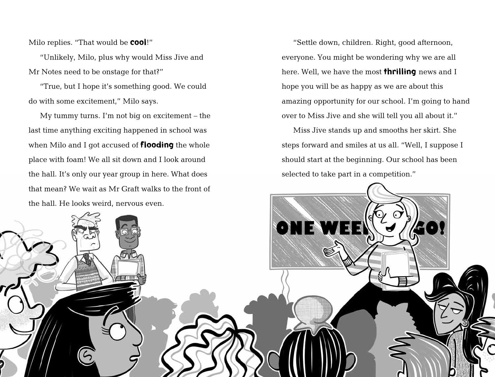Milo replies. "That would be **cool!"** 

"Unlikely, Milo, plus why would Miss Jive and Mr Notes need to be onstage for that?"

"True, but I hope it's something good. We could do with some excitement," Milo says.

My tummy turns. I'm not big on excitement – the last time anything exciting happened in school was when Milo and I got accused of **flooding** the whole place with foam! We all sit down and I look around the hall. It's only our year group in here. What does

"Settle down, children. Right, good afternoon, everyone. You might be wondering why we are all here. Well, we have the most **thrilling** news and I hope you will be as happy as we are about this amazing opportunity for our school. I'm going to hand over to Miss Jive and she will tell you all about it."

Miss Jive stands up and smooths her skirt. She steps forward and smiles at us all. "Well, I suppose I should start at the beginning. Our school has been selected to take part in a competition."

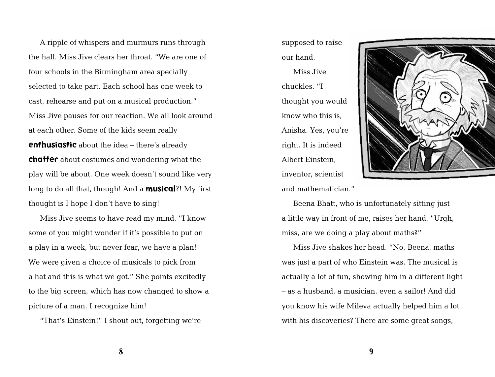A ripple of whispers and murmurs runs through the hall. Miss Jive clears her throat. "We are one of four schools in the Birmingham area specially selected to take part. Each school has one week to cast, rehearse and put on a musical production." Miss Jive pauses for our reaction. We all look around at each other. Some of the kids seem really **enthusiastic** about the idea – there's already chatter about costumes and wondering what the play will be about. One week doesn't sound like very long to do all that, though! And a **musical**?! My first thought is I hope I don't have to sing!

Miss Jive seems to have read my mind. "I know some of you might wonder if it's possible to put on a play in a week, but never fear, we have a plan! We were given a choice of musicals to pick from a hat and this is what we got." She points excitedly to the big screen, which has now changed to show a picture of a man. I recognize him!

"That's Einstein!" I shout out, forgetting we're

supposed to raise our hand. Miss Jive chuckles. "I thought you would know who this is, Anisha. Yes, you're right. It is indeed Albert Einstein, inventor, scientist and mathematician."



Beena Bhatt, who is unfortunately sitting just a little way in front of me, raises her hand. "Urgh, miss, are we doing a play about maths?"

Miss Jive shakes her head. "No, Beena, maths was just a part of who Einstein was. The musical is actually a lot of fun, showing him in a different light – as a husband, a musician, even a sailor! And did you know his wife Mileva actually helped him a lot with his discoveries? There are some great songs,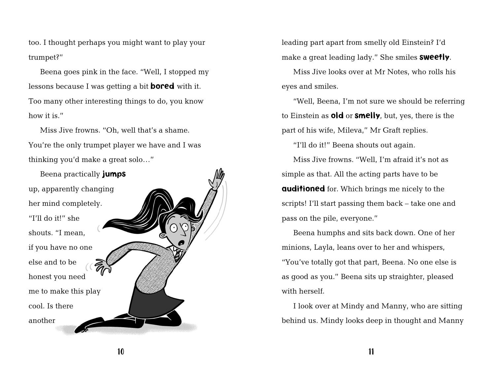too. I thought perhaps you might want to play your trumpet?"

Beena goes pink in the face. "Well, I stopped my lessons because I was getting a bit **bored** with it. Too many other interesting things to do, you know how it is."

Miss Jive frowns. "Oh, well that's a shame. You're the only trumpet player we have and I was thinking you'd make a great solo…"



leading part apart from smelly old Einstein? I'd make a great leading lady." She smiles **sweetly**.

Miss Jive looks over at Mr Notes, who rolls his eyes and smiles.

"Well, Beena, I'm not sure we should be referring to Einstein as **old** or **smelly**, but, yes, there is the part of his wife, Mileva," Mr Graft replies.

"I'll do it!" Beena shouts out again.

Miss Jive frowns. "Well, I'm afraid it's not as simple as that. All the acting parts have to be **auditioned** for. Which brings me nicely to the scripts! I'll start passing them back – take one and pass on the pile, everyone."

Beena humphs and sits back down. One of her minions, Layla, leans over to her and whispers, "You've totally got that part, Beena. No one else is as good as you." Beena sits up straighter, pleased with herself

I look over at Mindy and Manny, who are sitting behind us. Mindy looks deep in thought and Manny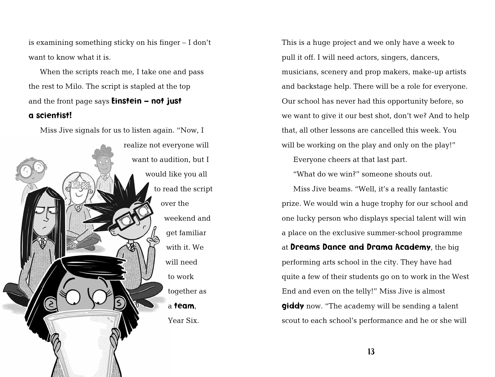is examining something sticky on his finger – I don't want to know what it is.

When the scripts reach me, I take one and pass the rest to Milo. The script is stapled at the top and the front page says **Einstein – not just** a scientist!

Miss Jive signals for us to listen again. "Now, I



This is a huge project and we only have a week to pull it off. I will need actors, singers, dancers, musicians, scenery and prop makers, make-up artists and backstage help. There will be a role for everyone. Our school has never had this opportunity before, so we want to give it our best shot, don't we? And to help that, all other lessons are cancelled this week. You will be working on the play and only on the play!"

Everyone cheers at that last part.

"What do we win?" someone shouts out.

Miss Jive beams. "Well, it's a really fantastic prize. We would win a huge trophy for our school and one lucky person who displays special talent will win a place on the exclusive summer-school programme at Dreams Dance and Drama Academy, the big performing arts school in the city. They have had quite a few of their students go on to work in the West End and even on the telly!" Miss Jive is almost **giddy** now. "The academy will be sending a talent scout to each school's performance and he or she will

13